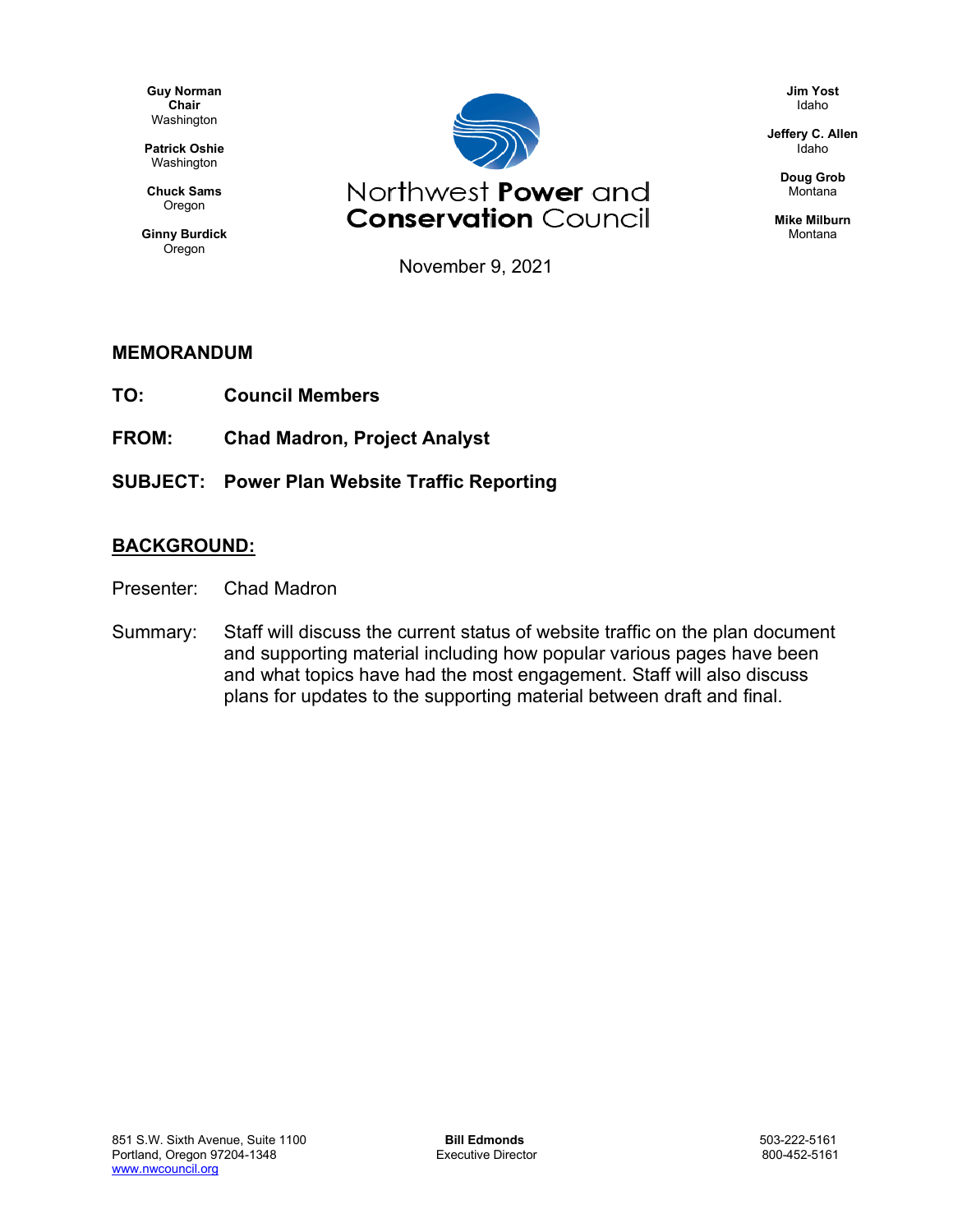**Guy Norman Chair** Washington

**Patrick Oshie** Washington

**Chuck Sams** Oregon

**Ginny Burdick** Oregon



Northwest Power and **Conservation Council**  **Jim Yost** Idaho

**Jeffery C. Allen** Idaho

> **Doug Grob** Montana

**Mike Milburn** Montana

November 9, 2021

### **MEMORANDUM**

- **TO: Council Members**
- **FROM: Chad Madron, Project Analyst**
- **SUBJECT: Power Plan Website Traffic Reporting**

### **BACKGROUND:**

- Presenter: Chad Madron
- Summary: Staff will discuss the current status of website traffic on the plan document and supporting material including how popular various pages have been and what topics have had the most engagement. Staff will also discuss plans for updates to the supporting material between draft and final.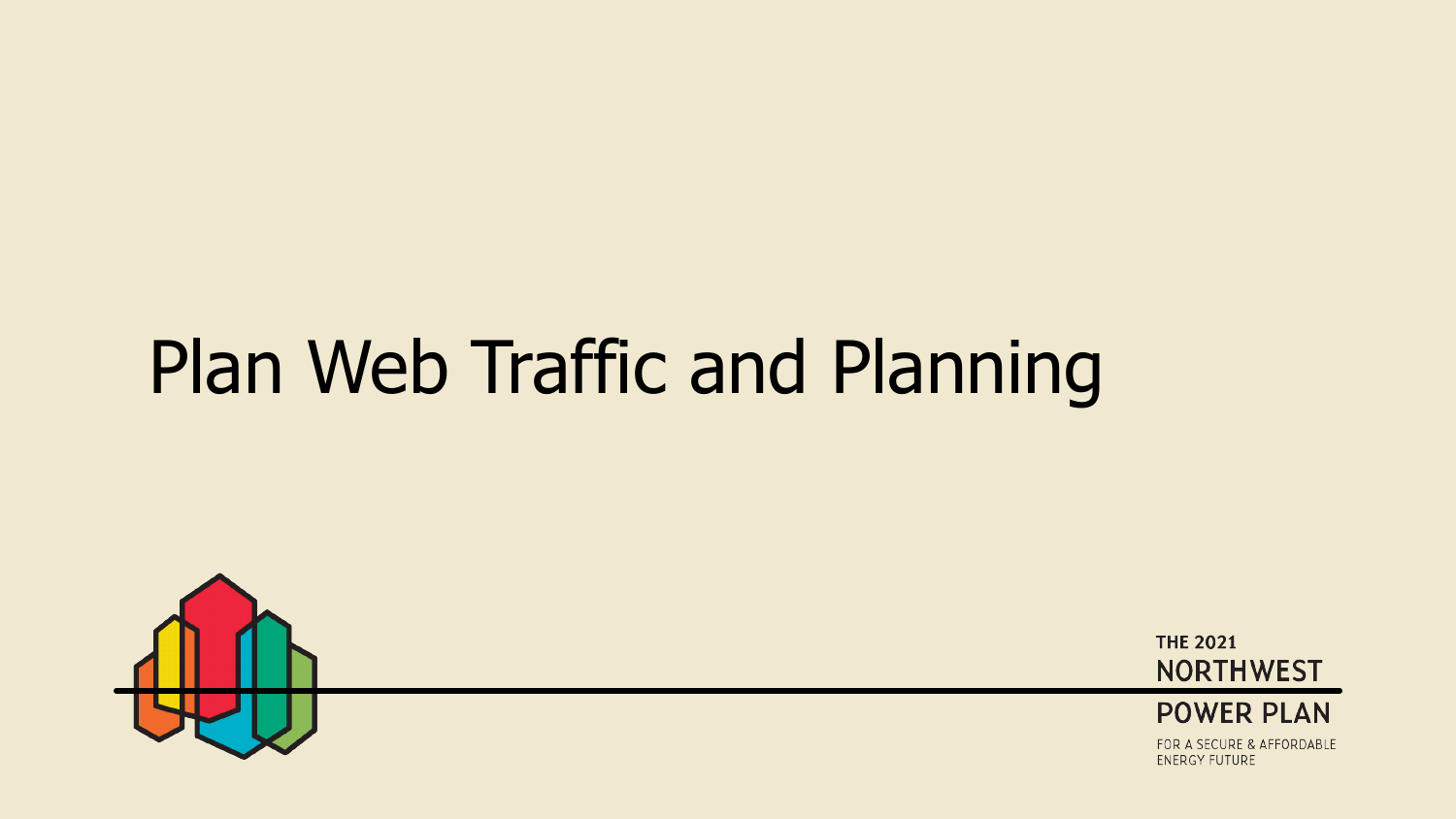# Plan Web Traffic and Planning



**THE 2021 NORTHWEST** 



FOR A SECURE & AFFORDABLE **ENERGY FUTURE**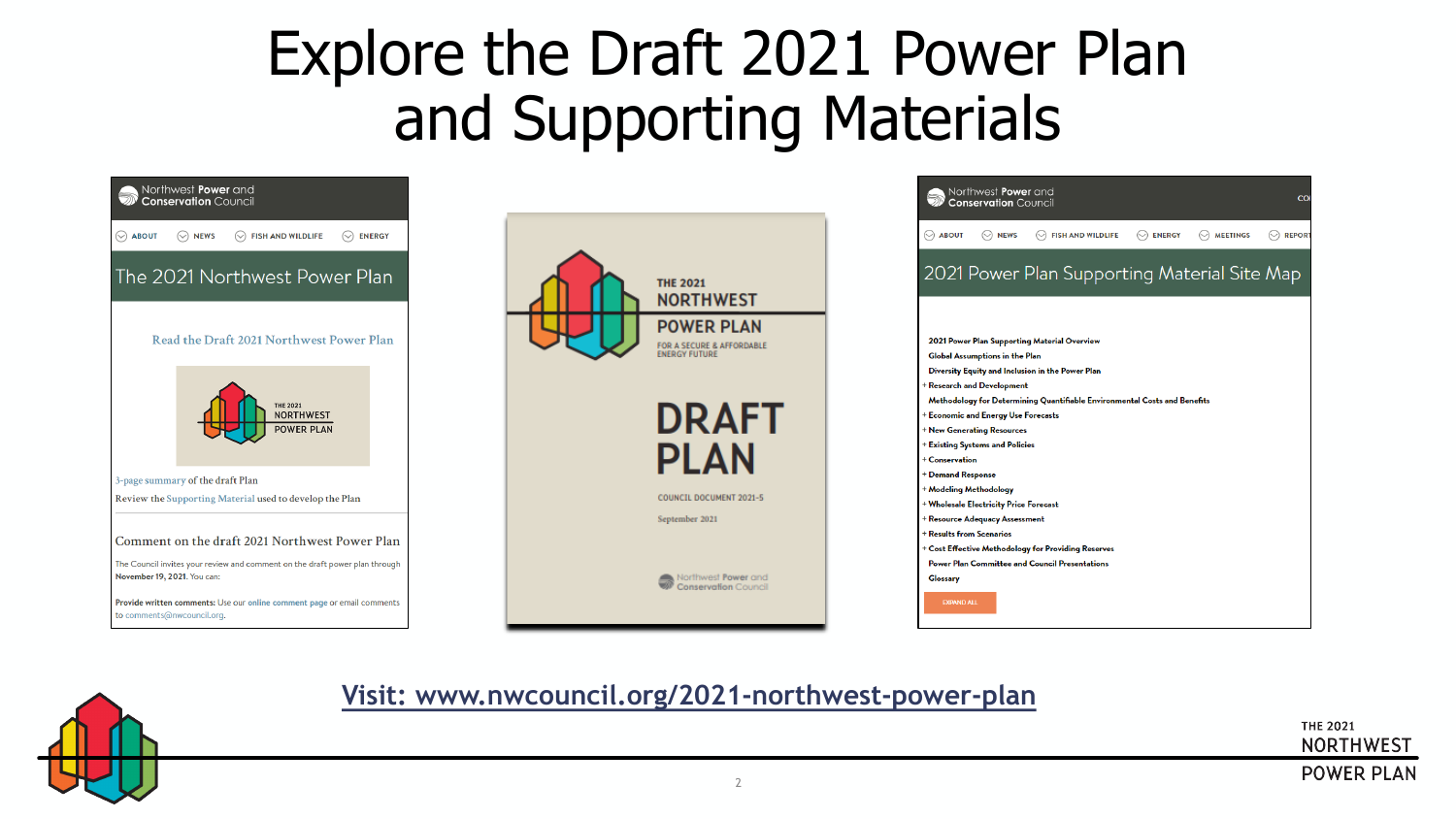## Explore the Draft 2021 Power Plan and Supporting Materials



### **[Visit: www.nwcouncil.org/2021-northwest-power-plan](https://www.nwcouncil.org/2021-northwest-power-plan)**

**THE 2021 NORTHWEST POWER PLAN**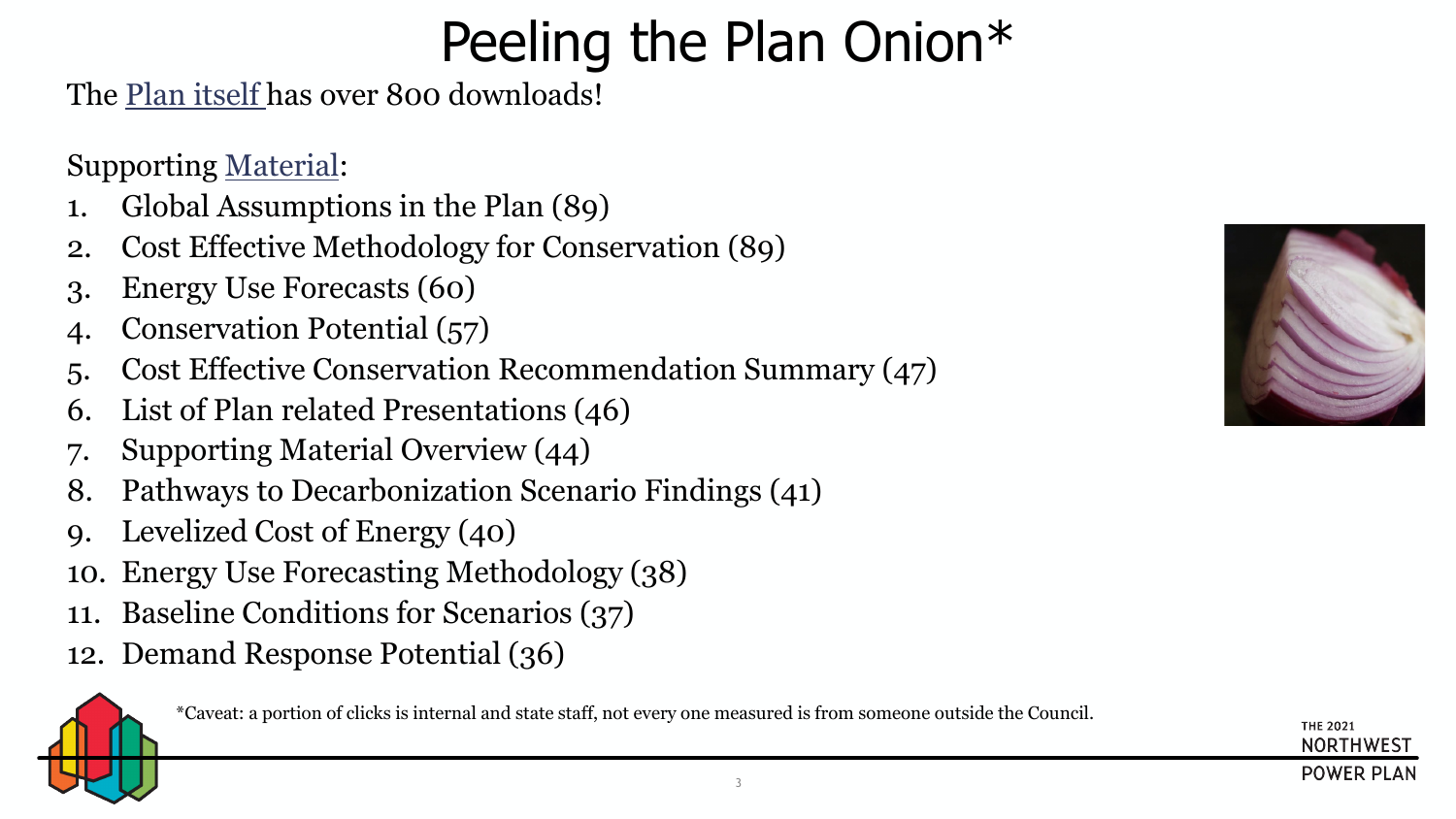## Peeling the Plan Onion\*

The [Plan itself h](https://www.nwcouncil.org/sites/default/files/2021powerplan_2021-5.pdf)as over 800 downloads!

Supporting [Material:](https://www.nwcouncil.org/2021powerplan_sitemap)

- 1. Global Assumptions in the Plan (89)
- 2. Cost Effective Methodology for Conservation (89)
- 3. Energy Use Forecasts (60)
- 4. Conservation Potential (57)
- 5. Cost Effective Conservation Recommendation Summary (47)
- 6. List of Plan related Presentations (46)
- 7. Supporting Material Overview (44)
- 8. Pathways to Decarbonization Scenario Findings (41)
- 9. Levelized Cost of Energy (40)
- 10. Energy Use Forecasting Methodology (38)
- 11. Baseline Conditions for Scenarios (37)
- 12. Demand Response Potential (36)



\*Caveat: a portion of clicks is internal and state staff, not every one measured is from someone outside the Council.



**THE 2021** 

**NORTHWEST POWER PLAN**